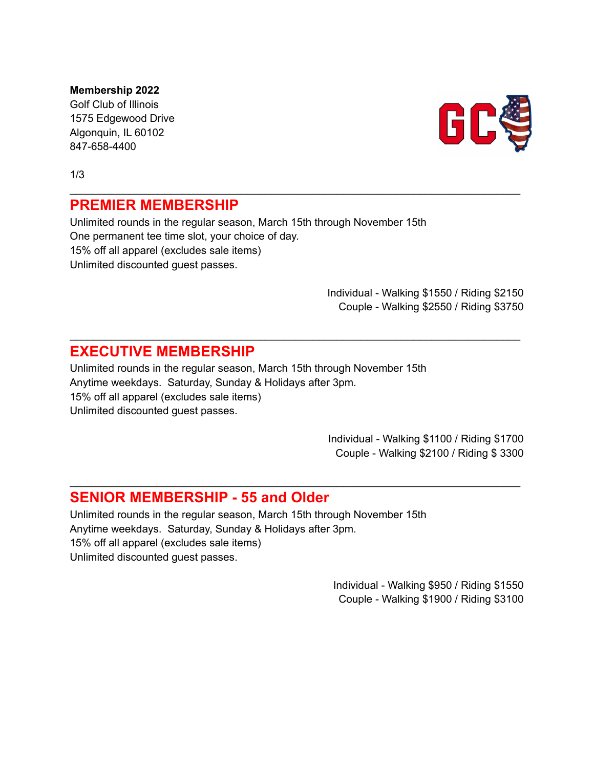**Membership 2022** Golf Club of Illinois 1575 Edgewood Drive Algonquin, IL 60102 847-658-4400

1/3

## **PREMIER MEMBERSHIP**

Unlimited rounds in the regular season, March 15th through November 15th One permanent tee time slot, your choice of day. 15% off all apparel (excludes sale items) Unlimited discounted guest passes.

\_\_\_\_\_\_\_\_\_\_\_\_\_\_\_\_\_\_\_\_\_\_\_\_\_\_\_\_\_\_\_\_\_\_\_\_\_\_\_\_\_\_\_\_\_\_\_\_\_\_\_\_\_\_\_\_\_\_\_\_\_\_\_\_\_\_\_\_\_\_\_\_\_\_\_\_

\_\_\_\_\_\_\_\_\_\_\_\_\_\_\_\_\_\_\_\_\_\_\_\_\_\_\_\_\_\_\_\_\_\_\_\_\_\_\_\_\_\_\_\_\_\_\_\_\_\_\_\_\_\_\_\_\_\_\_\_\_\_\_\_\_\_\_\_\_\_\_\_\_\_\_\_

\_\_\_\_\_\_\_\_\_\_\_\_\_\_\_\_\_\_\_\_\_\_\_\_\_\_\_\_\_\_\_\_\_\_\_\_\_\_\_\_\_\_\_\_\_\_\_\_\_\_\_\_\_\_\_\_\_\_\_\_\_\_\_\_\_\_\_\_\_\_\_\_\_\_\_\_

Individual - Walking \$1550 / Riding \$2150 Couple - Walking \$2550 / Riding \$3750

## **EXECUTIVE MEMBERSHIP**

Unlimited rounds in the regular season, March 15th through November 15th Anytime weekdays. Saturday, Sunday & Holidays after 3pm. 15% off all apparel (excludes sale items) Unlimited discounted guest passes.

> Individual - Walking \$1100 / Riding \$1700 Couple - Walking \$2100 / Riding \$ 3300

## **SENIOR MEMBERSHIP - 55 and Older**

Unlimited rounds in the regular season, March 15th through November 15th Anytime weekdays. Saturday, Sunday & Holidays after 3pm. 15% off all apparel (excludes sale items) Unlimited discounted guest passes.

> Individual - Walking \$950 / Riding \$1550 Couple - Walking \$1900 / Riding \$3100

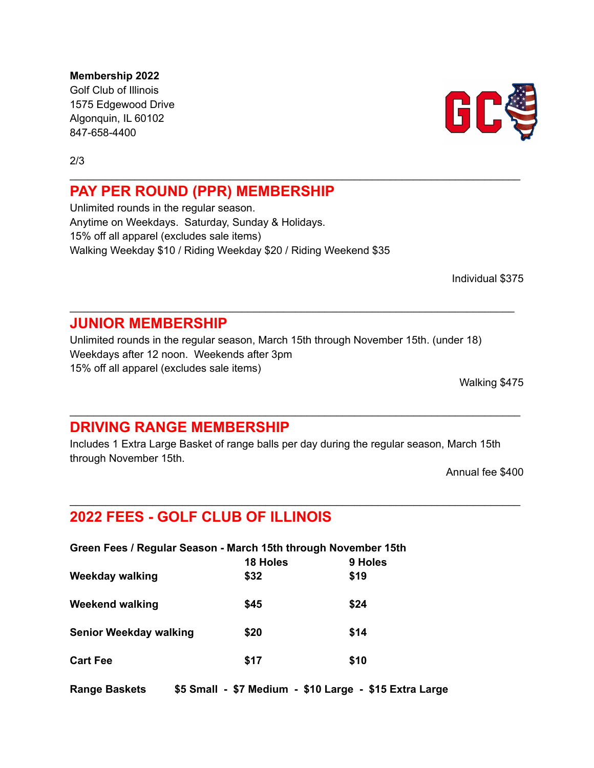**Membership 2022** Golf Club of Illinois 1575 Edgewood Drive Algonquin, IL 60102 847-658-4400

2/3

## **PAY PER ROUND (PPR) MEMBERSHIP**

Unlimited rounds in the regular season. Anytime on Weekdays. Saturday, Sunday & Holidays. 15% off all apparel (excludes sale items) Walking Weekday \$10 / Riding Weekday \$20 / Riding Weekend \$35

Individual \$375

## **JUNIOR MEMBERSHIP**

Unlimited rounds in the regular season, March 15th through November 15th. (under 18) Weekdays after 12 noon. Weekends after 3pm 15% off all apparel (excludes sale items)

\_\_\_\_\_\_\_\_\_\_\_\_\_\_\_\_\_\_\_\_\_\_\_\_\_\_\_\_\_\_\_\_\_\_\_\_\_\_\_\_\_\_\_\_\_\_\_\_\_\_\_\_\_\_\_\_\_\_\_\_\_\_\_\_\_\_\_\_\_\_\_\_\_\_\_

\_\_\_\_\_\_\_\_\_\_\_\_\_\_\_\_\_\_\_\_\_\_\_\_\_\_\_\_\_\_\_\_\_\_\_\_\_\_\_\_\_\_\_\_\_\_\_\_\_\_\_\_\_\_\_\_\_\_\_\_\_\_\_\_\_\_\_\_\_\_\_\_\_\_\_\_

Walking \$475

## **DRIVING RANGE MEMBERSHIP**

Includes 1 Extra Large Basket of range balls per day during the regular season, March 15th through November 15th.

\_\_\_\_\_\_\_\_\_\_\_\_\_\_\_\_\_\_\_\_\_\_\_\_\_\_\_\_\_\_\_\_\_\_\_\_\_\_\_\_\_\_\_\_\_\_\_\_\_\_\_\_\_\_\_\_\_\_\_\_\_\_\_\_\_\_\_\_\_\_\_\_\_\_\_\_

\_\_\_\_\_\_\_\_\_\_\_\_\_\_\_\_\_\_\_\_\_\_\_\_\_\_\_\_\_\_\_\_\_\_\_\_\_\_\_\_\_\_\_\_\_\_\_\_\_\_\_\_\_\_\_\_\_\_\_\_\_\_\_\_\_\_\_\_\_\_\_\_\_\_\_\_

Annual fee \$400

# **2022 FEES - GOLF CLUB OF ILLINOIS**

| Green Fees / Regular Season - March 15th through November 15th |         |  |
|----------------------------------------------------------------|---------|--|
| 18 Holes                                                       | 9 Holes |  |
| \$32                                                           | \$19    |  |
| \$45                                                           | \$24    |  |
| \$20                                                           | \$14    |  |
| \$17                                                           | \$10    |  |
|                                                                |         |  |

**Range Baskets \$5 Small - \$7 Medium - \$10 Large - \$15 Extra Large**

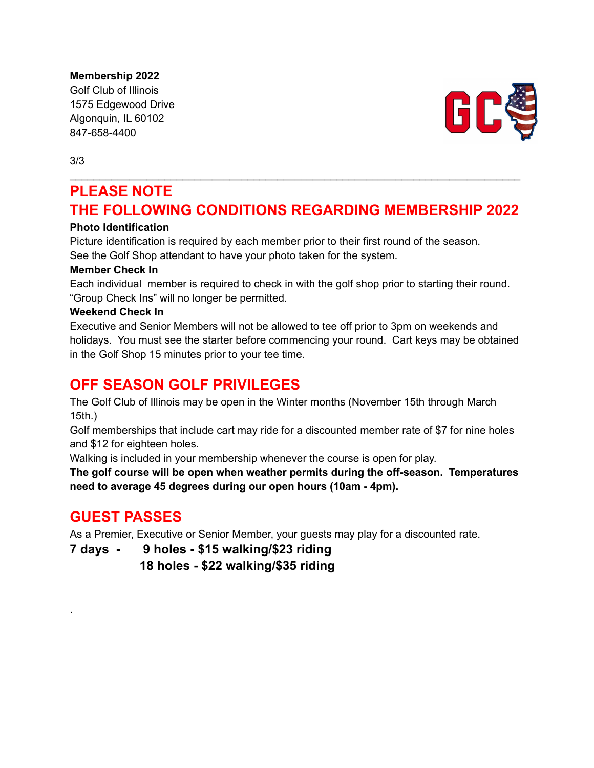**Membership 2022**

Golf Club of Illinois 1575 Edgewood Drive Algonquin, IL 60102 847-658-4400



3/3

# **PLEASE NOTE THE FOLLOWING CONDITIONS REGARDING MEMBERSHIP 2022**

\_\_\_\_\_\_\_\_\_\_\_\_\_\_\_\_\_\_\_\_\_\_\_\_\_\_\_\_\_\_\_\_\_\_\_\_\_\_\_\_\_\_\_\_\_\_\_\_\_\_\_\_\_\_\_\_\_\_\_\_\_\_\_\_\_\_\_\_\_\_\_\_\_\_\_\_

### **Photo Identification**

Picture identification is required by each member prior to their first round of the season.

See the Golf Shop attendant to have your photo taken for the system.

### **Member Check In**

Each individual member is required to check in with the golf shop prior to starting their round. "Group Check Ins" will no longer be permitted.

### **Weekend Check In**

Executive and Senior Members will not be allowed to tee off prior to 3pm on weekends and holidays. You must see the starter before commencing your round. Cart keys may be obtained in the Golf Shop 15 minutes prior to your tee time.

# **OFF SEASON GOLF PRIVILEGES**

The Golf Club of Illinois may be open in the Winter months (November 15th through March 15th.)

Golf memberships that include cart may ride for a discounted member rate of \$7 for nine holes and \$12 for eighteen holes.

Walking is included in your membership whenever the course is open for play.

**The golf course will be open when weather permits during the off-season. Temperatures need to average 45 degrees during our open hours (10am - 4pm).**

# **GUEST PASSES**

.

As a Premier, Executive or Senior Member, your guests may play for a discounted rate.

**7 days - 9 holes - \$15 walking/\$23 riding**

**18 holes - \$22 walking/\$35 riding**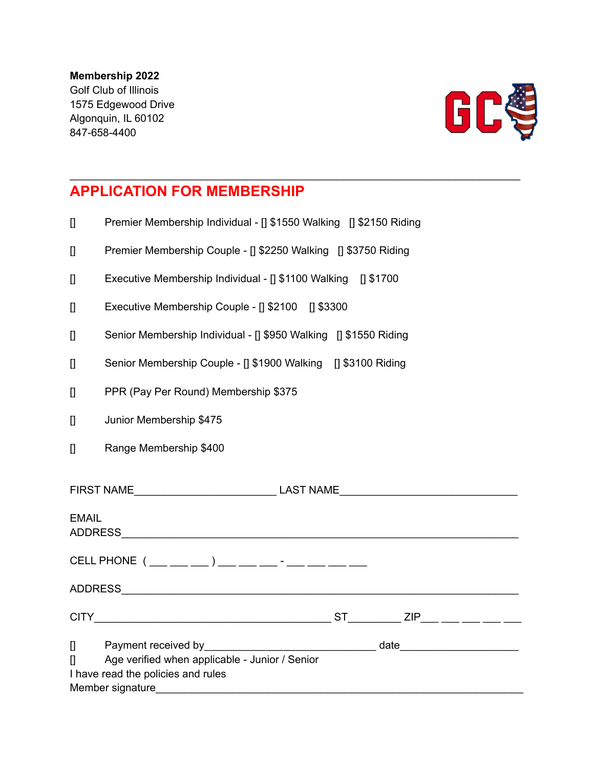### **Membership 2022**

Golf Club of Illinois 1575 Edgewood Drive Algonquin, IL 60102 847-658-4400



# **APPLICATION FOR MEMBERSHIP**

[] Premier Membership Individual - [] \$1550 Walking [] \$2150 Riding

\_\_\_\_\_\_\_\_\_\_\_\_\_\_\_\_\_\_\_\_\_\_\_\_\_\_\_\_\_\_\_\_\_\_\_\_\_\_\_\_\_\_\_\_\_\_\_\_\_\_\_\_\_\_\_\_\_\_\_\_\_\_\_\_\_\_\_\_\_\_\_\_\_\_\_\_

- [] Premier Membership Couple [] \$2250 Walking [] \$3750 Riding
- [] Executive Membership Individual [] \$1100 Walking [] \$1700
- [] Executive Membership Couple [] \$2100 [] \$3300
- [] Senior Membership Individual [] \$950 Walking [] \$1550 Riding
- [] Senior Membership Couple [] \$1900 Walking [] \$3100 Riding
- [] PPR (Pay Per Round) Membership \$375
- [] Junior Membership \$475
- [] Range Membership \$400

| FIRST NAME                                                                                                                   |                                                        |  |
|------------------------------------------------------------------------------------------------------------------------------|--------------------------------------------------------|--|
| <b>EMAIL</b><br><b>ADDRESS</b>                                                                                               |                                                        |  |
| CELL PHONE $(\_\_\_\_\_\_)\_\_$ = $\_\_\_\_$ = $\_\_$ = $\_\_$                                                               |                                                        |  |
|                                                                                                                              |                                                        |  |
|                                                                                                                              | $ST$ $ZIP$ $\qquad \qquad \qquad \qquad \qquad \qquad$ |  |
| $\Box$<br>$\Box$<br>Age verified when applicable - Junior / Senior<br>I have read the policies and rules<br>Member signature | date________________________                           |  |